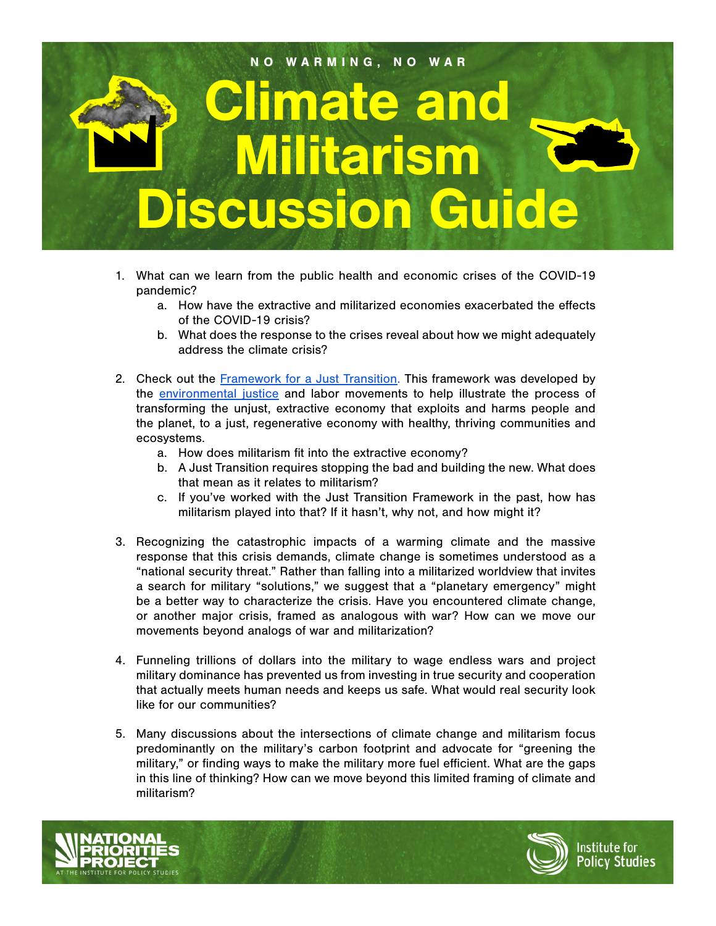## Climate and Militarism **iscussion Guide** NO WARMING, NO WAR

- 1. What can we learn from the public health and economic crises of the COVID-19 pandemic?
	- a. How have the extractive and militarized economies exacerbated the effects of the COVID-19 crisis?
	- b. What does the response to the crises reveal about how we might adequately address the climate crisis?
- 2. Check out the **Framework for a Just Transition**. This framework was developed by the [environmental justice](https://climatejusticealliance.org/just-transition/) and labor movements to help illustrate the process of transforming the unjust, extractive economy that exploits and harms people and the planet, to a just, regenerative economy with healthy, thriving communities and ecosystems.
	- a. How does militarism fit into the extractive economy?
	- b. A Just Transition requires stopping the bad and building the new. What does that mean as it relates to militarism?
	- c. If you've worked with the Just Transition Framework in the past, how has militarism played into that? If it hasn't, why not, and how might it?
- 3. Recognizing the catastrophic impacts of a warming climate and the massive response that this crisis demands, climate change is sometimes understood as a "national security threat." Rather than falling into a militarized worldview that invites a search for military "solutions," we suggest that a "planetary emergency" might be a better way to characterize the crisis. Have you encountered climate change, or another major crisis, framed as analogous with war? How can we move our movements beyond analogs of war and militarization?
- 4. Funneling trillions of dollars into the military to wage endless wars and project military dominance has prevented us from investing in true security and cooperation that actually meets human needs and keeps us safe. What would real security look like for our communities?
- 5. Many discussions about the intersections of climate change and militarism focus predominantly on the military's carbon footprint and advocate for "greening the military," or finding ways to make the military more fuel efficient. What are the gaps in this line of thinking? How can we move beyond this limited framing of climate and militarism?





Institute for **Policy Studies**